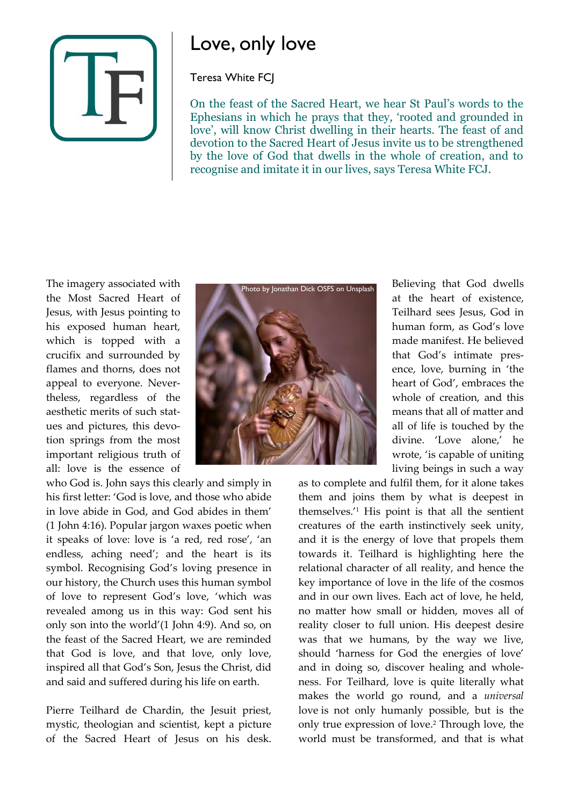

## Love, only love

## Teresa White FCJ

On the feast of the Sacred Heart, we hear St Paul's words to the Ephesians in which he prays that they, 'rooted and grounded in love', will know Christ dwelling in their hearts. The feast of and devotion to the Sacred Heart of Jesus invite us to be strengthened by the love of God that dwells in the whole of creation, and to recognise and imitate it in our lives, says Teresa White FCJ.

The imagery associated with the Most Sacred Heart of Jesus, with Jesus pointing to his exposed human heart, which is topped with a crucifix and surrounded by flames and thorns, does not appeal to everyone. Nevertheless, regardless of the aesthetic merits of such statues and pictures, this devotion springs from the most important religious truth of all: love is the essence of

who God is. John says this clearly and simply in his first letter: 'God is love, and those who abide in love abide in God, and God abides in them' (1 John 4:16). Popular jargon waxes poetic when it speaks of love: love is 'a red, red rose', 'an endless, aching need'; and the heart is its symbol. Recognising God's loving presence in our history, the Church uses this human symbol of love to represent God's love, 'which was revealed among us in this way: God sent his only son into the world'(1 John 4:9). And so, on the feast of the Sacred Heart, we are reminded that God is love, and that love, only love, inspired all that God's Son, Jesus the Christ, did and said and suffered during his life on earth.

Pierre Teilhard de Chardin, the Jesuit priest, mystic, theologian and scientist, kept a picture of the Sacred Heart of Jesus on his desk.



Believing that God dwells at the heart of existence, Teilhard sees Jesus, God in human form, as God's love made manifest. He believed that God's intimate presence, love, burning in 'the heart of God', embraces the whole of creation, and this means that all of matter and all of life is touched by the divine. 'Love alone,' he wrote, 'is capable of uniting living beings in such a way

as to complete and fulfil them, for it alone takes them and joins them by what is deepest in themselves.' <sup>1</sup> His point is that all the sentient creatures of the earth instinctively seek unity, and it is the energy of love that propels them towards it. Teilhard is highlighting here the relational character of all reality, and hence the key importance of love in the life of the cosmos and in our own lives. Each act of love, he held, no matter how small or hidden, moves all of reality closer to full union. His deepest desire was that we humans, by the way we live, should 'harness for God the energies of love' and in doing so, discover healing and wholeness. For Teilhard, love is quite literally what makes the world go round, and a *universal*  love is not only humanly possible, but is the only true expression of love.<sup>2</sup> Through love, the world must be transformed, and that is what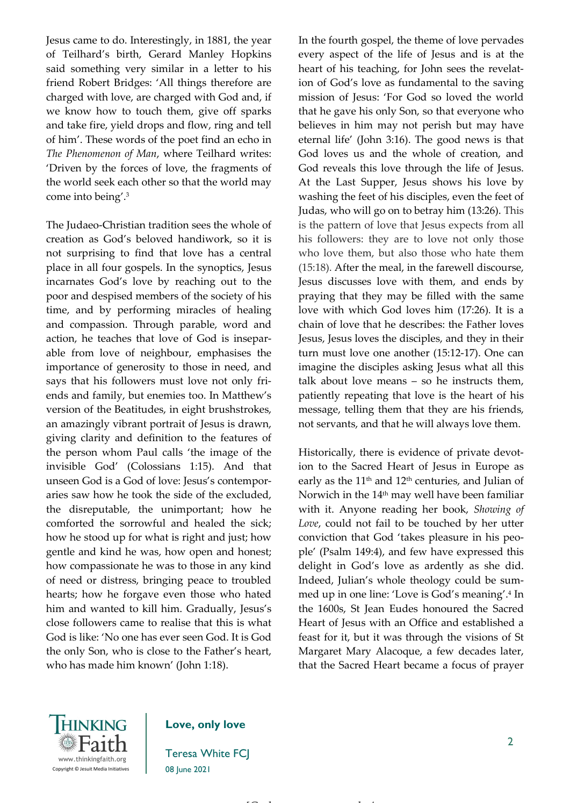Jesus came to do. Interestingly, in 1881, the year of Teilhard's birth, Gerard Manley Hopkins said something very similar in a letter to his friend Robert Bridges: 'All things therefore are charged with love, are charged with God and, if we know how to touch them, give off sparks and take fire, yield drops and flow, ring and tell of him'. These words of the poet find an echo in *The Phenomenon of Man*, where Teilhard writes: 'Driven by the forces of love, the fragments of the world seek each other so that the world may come into being'. 3

The Judaeo-Christian tradition sees the whole of creation as God's beloved handiwork, so it is not surprising to find that love has a central place in all four gospels. In the synoptics, Jesus incarnates God's love by reaching out to the poor and despised members of the society of his time, and by performing miracles of healing and compassion. Through parable, word and action, he teaches that love of God is inseparable from love of neighbour, emphasises the importance of generosity to those in need, and says that his followers must love not only friends and family, but enemies too. In Matthew's version of the Beatitudes, in eight brushstrokes, an amazingly vibrant portrait of Jesus is drawn, giving clarity and definition to the features of the person whom Paul calls 'the image of the invisible God' (Colossians 1:15). And that unseen God is a God of love: Jesus's contemporaries saw how he took the side of the excluded, the disreputable, the unimportant; how he comforted the sorrowful and healed the sick; how he stood up for what is right and just; how gentle and kind he was, how open and honest; how compassionate he was to those in any kind of need or distress, bringing peace to troubled hearts; how he forgave even those who hated him and wanted to kill him. Gradually, Jesus's close followers came to realise that this is what God is like: 'No one has ever seen God. It is God the only Son, who is close to the Father's heart, who has made him known' (John 1:18).

In the fourth gospel, the theme of love pervades every aspect of the life of Jesus and is at the heart of his teaching, for John sees the revelation of God's love as fundamental to the saving mission of Jesus: 'For God so loved the world that he gave his only Son, so that everyone who believes in him may not perish but may have eternal life' (John 3:16). The good news is that God loves us and the whole of creation, and God reveals this love through the life of Jesus. At the Last Supper, Jesus shows his love by washing the feet of his disciples, even the feet of Judas, who will go on to betray him (13:26). This is the pattern of love that Jesus expects from all his followers: they are to love not only those who love them, but also those who hate them (15:18). After the meal, in the farewell discourse, Jesus discusses love with them, and ends by praying that they may be filled with the same love with which God loves him (17:26). It is a chain of love that he describes: the Father loves Jesus, Jesus loves the disciples, and they in their turn must love one another (15:12-17). One can imagine the disciples asking Jesus what all this talk about love means – so he instructs them, patiently repeating that love is the heart of his message, telling them that they are his friends, not servants, and that he will always love them.

Historically, there is evidence of private devotion to the Sacred Heart of Jesus in Europe as early as the 11<sup>th</sup> and 12<sup>th</sup> centuries, and Julian of Norwich in the 14<sup>th</sup> may well have been familiar with it. Anyone reading her book, *Showing of Love*, could not fail to be touched by her utter conviction that God 'takes pleasure in his people' (Psalm 149:4), and few have expressed this delight in God's love as ardently as she did. Indeed, Julian's whole theology could be summed up in one line: 'Love is God's meaning'. 4 In the 1600s, St Jean Eudes honoured the Sacred Heart of Jesus with an Office and established a feast for it, but it was through the visions of St Margaret Mary Alacoque, a few decades later, that the Sacred Heart became a focus of prayer



## **Love, only love**

Teresa White FCJ 08 June 2021

[Grab your reader's